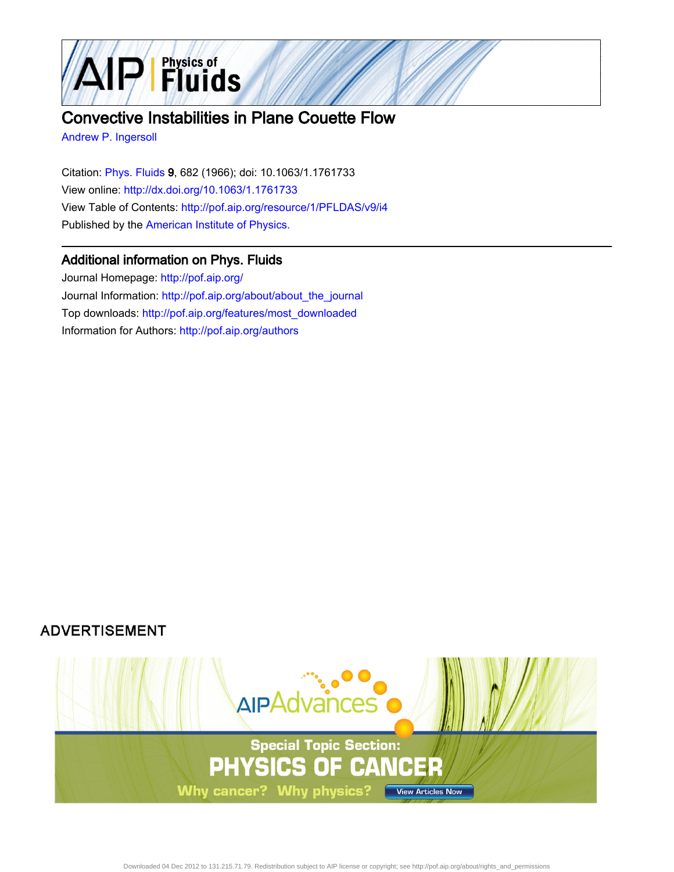

# Convective Instabilities in Plane Couette Flow

[Andrew P. Ingersoll](http://pof.aip.org/search?sortby=newestdate&q=&searchzone=2&searchtype=searchin&faceted=faceted&key=AIP_ALL&possible1=Andrew P. Ingersoll&possible1zone=author&alias=&displayid=AIP&ver=pdfcov)

Citation: [Phys. Fluids 9](http://pof.aip.org/?ver=pdfcov), 682 (1966); doi: 10.1063/1.1761733 View online: [http://dx.doi.org/10.1063/1.1761733](http://link.aip.org/link/doi/10.1063/1.1761733?ver=pdfcov) View Table of Contents: [http://pof.aip.org/resource/1/PFLDAS/v9/i4](http://pof.aip.org/resource/1/PFLDAS/v9/i4?ver=pdfcov) Published by the [American Institute of Physics.](http://www.aip.org/?ver=pdfcov)

# Additional information on Phys. Fluids

Journal Homepage: [http://pof.aip.org/](http://pof.aip.org/?ver=pdfcov) Journal Information: [http://pof.aip.org/about/about\\_the\\_journal](http://pof.aip.org/about/about_the_journal?ver=pdfcov) Top downloads: [http://pof.aip.org/features/most\\_downloaded](http://pof.aip.org/features/most_downloaded?ver=pdfcov) Information for Authors: [http://pof.aip.org/authors](http://pof.aip.org/authors?ver=pdfcov)

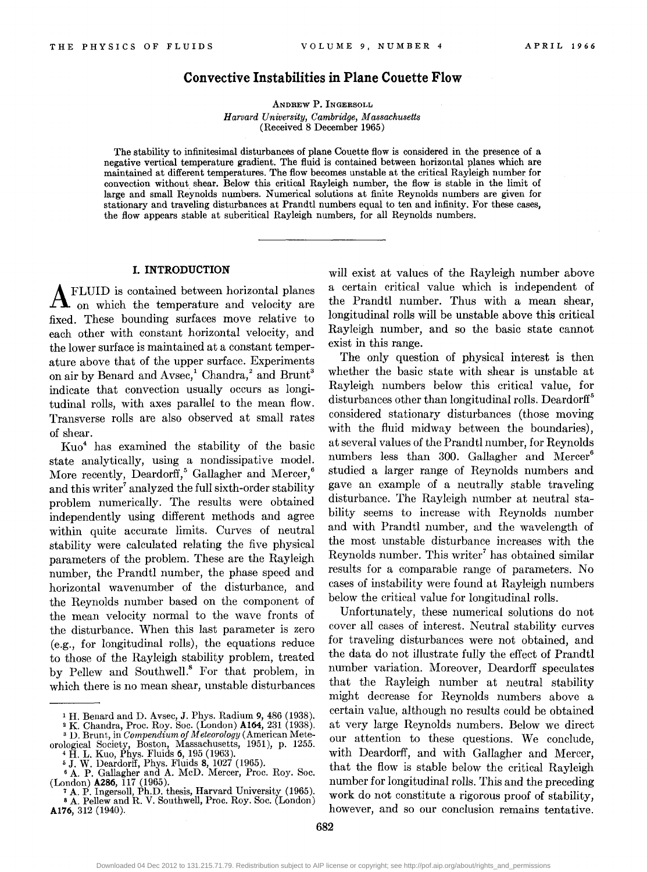# **Convective Instabilities in Plane Couette Flow**

ANDREW P. INGERSOLL *Harvard University, Cambridge, Massachusetts*  (Received 8 December 1965)

The stability to infinitesimal disturbances of plane Couette flow is considered in the presence of a negative vertical temperature gradient. The fluid is contained between horizontal planes which are mamtamed at different temperatures. The flow becomes unstable at the critical Rayleigh number for convection without shear. Below this critical Rayleigh number, the flow is stable in the limit of large and small Reynolds numbers. Numerical solutions at finite Reynolds numbers are given for stationary and traveling disturbances at Prandtl numbers equal to ten and infinity. For these cases, the flow appears stable at subcritical Rayleigh numbers, for all Reynolds numbers. '

#### **I. INTRODUCTION**

 ${\bf A}$  FLUID is contained between horizontal planes on which the temperature and velocity are fixed. These bounding surfaces move relative to each other with constant horizontal velocity, and the lower surface is maintained at a constant temperature above that of the upper surface. Experiments on air by Benard and  $A$ vsec,<sup>1</sup> Chandra,<sup>2</sup> and Brunt<sup>3</sup> indicate that convection usually occurs as longitudinal rolls, with axes parallel to the mean flow. Transverse rolls are also observed at small rates of shear.

Kuo4 has examined the stability of the basic state analytically, using a nondissipative model. More recently, Deardorff,<sup>5</sup> Gallagher and Mercer,<sup>6</sup> and this writer<sup>7</sup> analyzed the full sixth-order stability problem numerically. The results were obtained independently using different methods and agree within quite accurate limits. Curves of neutral stability were calculated relating the five physical parameters of the problem. These are the Rayleigh number, the Prandtl number, the phase speed and horizontal wavenumber of the disturbance, and the Reynolds number based on the component of the mean velocity normal to the wave fronts of the disturbance. When this last parameter is zero (e.g., for longitudinal rolls), the equations reduce to those of the Rayleigh stability problem, treated by Pellew and Southwell.<sup>8</sup> For that problem, in which there is no mean shear, unstable disturbances will exist at values of the Rayleigh number above a certain critical value which is independent of the Prandtl number. Thus with a mean shear, longitudinal rolls will be unstable above this critical Rayleigh number, and so the basic state cannot exist in this range.

The only question of physical interest is then whether the basic state with shear is unstable at Rayleigh numbers below this critical value, for disturbances other than longitudinal rolls. Deardorff<sup>5</sup> considered stationary disturbances (those moving with the fluid midway between the boundaries), at several values of the Prandtl number, for Reynolds numbers less than 300. Gallagher and Mercer<sup>6</sup> studied a larger range of Reynolds numbers and gave an example of a neutrally stable traveling disturbance. The Rayleigh number at neutral stability seems to increase with Reynolds number and with Prandtl number, and the wavelength of the most unstable disturbance increases with the Reynolds number. This writer<sup>7</sup> has obtained similar results for a comparable range of parameters. No cases of instability were found at Rayleigh numbers below the critical value for longitudinal rolls.

Unfortunately, these numerical solutions do not cover all cases of interest. Neutral stability curves for traveling disturbances were not obtained, and the data do not illustrate fully the effect of Prandtl number variation. Moreover, Deardorff speculates that the Rayleigh number at neutral stability might decrease for Reynolds numbers above a certain value, although no results could be obtained at very large Reynolds numbers. Below we direct our attention to these questions. We conclude, with Deardorff, and with Gallagher and Mercer, that the flow is stable below the critical Rayleigh number for longitudinal rolls. This and the preceding work do not constitute a rigorous proof of stability, however, and so our conclusion remains tentative.

<sup>&</sup>lt;sup>1</sup> H. Benard and D. Avsec, J. Phys. Radium 9, 486 (1938).<br><sup>2</sup> K. Chandra, Proc. Roy. Soc. (London) **A164**, 231 (1938).<br><sup>3</sup> D. Brunt, in *Compendium of Meteorology* (American Mete-<br>orological Society, Boston, Massachusetts

 $\overline{\textbf{5}}$  J. W. Deardorff, Phys. Fluids 8, 1027 (1965).<br>  $\overline{\textbf{6}}$  A. P. Gallagher and A. McD. Mercer, Proc. Roy. Soc.<br>
(London) **A286**, 117 (1965). (London) **A286,** 117 (1965). 7 A. P. Ingersoll, Ph.D. thesis, Harvard University (1965).

sA. Pellew and R. V. Southwell, Proc. Roy. Soc. (London) **Al76,** 312 (1940).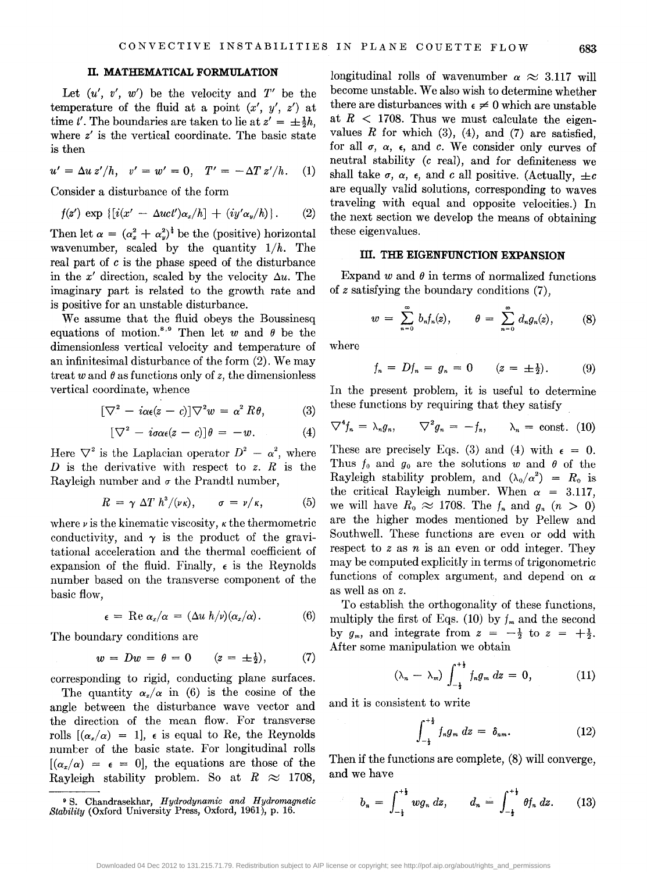# **II. MATHEMATICAL FORMULATION**

Let  $(u', v', w')$  be the velocity and  $T'$  be the temperature of the fluid at a point  $(x', y', z')$  at time t'. The boundaries are taken to lie at  $z' = \pm \frac{1}{2}h$ . where *z'* is the vertical coordinate. The basic state is then

 $u' = \Delta u \, z'/h$ ,  $v' = w' = 0$ ,  $T' = -\Delta T \, z'/h$ . (1)

Consider a disturbance of the form

$$
f(z') \exp \{[i(x' - \Delta u c t')\alpha_x/h] + (iy'\alpha_y/h)\}.
$$
 (2)

Then let  $\alpha = (\alpha_x^2 + \alpha_y^2)^{\frac{1}{2}}$  be the (positive) horizontal wavenumber, scaled by the quantity  $1/h$ . The real part of *c* is the phase speed of the disturbance in the x' direction, scaled by the velocity  $\Delta u$ . The imaginary part is related to the growth rate and is positive for an unstable disturbance.

We assume that the fluid obeys the Boussinesq equations of motion.<sup>8,9</sup> Then let w and  $\theta$  be the dimensionless vertical velocity and temperature of an infinitesimal disturbance of the form (2). We may treat w and  $\theta$  as functions only of z, the dimensionless vertical coordinate, whence

$$
[\nabla^2 - i\alpha \epsilon (z - c)] \nabla^2 w = \alpha^2 R \theta, \qquad (3)
$$

$$
[\nabla^2 - i\sigma\alpha\epsilon(z - c)]\theta = -w.
$$
 (4)

Here  $\nabla^2$  is the Laplacian operator  $D^2 - \alpha^2$ , where *D* is the derivative with respect to *z. R* is the Rayleigh number and  $\sigma$  the Prandtl number,

$$
R = \gamma \Delta T h^3/(\nu \kappa), \qquad \sigma = \nu/\kappa, \tag{5}
$$

where  $\nu$  is the kinematic viscosity,  $\kappa$  the thermometric conductivity, and  $\gamma$  is the product of the gravitational acceleration and the thermal coefficient of expansion of the fluid. Finally,  $\epsilon$  is the Reynolds number based on the transverse component of the basic flow,

$$
\epsilon = \text{Re }\alpha_x/\alpha = (\Delta u \ h/\nu)(\alpha_x/\alpha). \tag{6}
$$

The boundary conditions are

$$
w = Dw = \theta = 0 \qquad (z = \pm \frac{1}{2}), \qquad (7)
$$

corresponding to rigid, conducting plane surfaces.

The quantity  $\alpha_x/\alpha$  in (6) is the cosine of the angle between the disturbance wave vector and the direction of the mean flow. For transverse rolls  $[(\alpha_x/\alpha) = 1]$ ,  $\epsilon$  is equal to Re, the Reynolds number of the basic state. For longitudinal rolls  $[(\alpha_x/\alpha)] = \epsilon = 0$ , the equations are those of the Rayleigh stability problem. So at  $R \approx 1708$ ,

longitudinal rolls of wavenumber  $\alpha \approx 3.117$  will become unstable. We also wish to determine whether there are disturbances with  $\epsilon \neq 0$  which are unstable at  $R$  < 1708. Thus we must calculate the eigenvalues  $R$  for which (3), (4), and (7) are satisfied, for all  $\sigma$ ,  $\alpha$ ,  $\epsilon$ , and *c*. We consider only curves of neutral stability *(c* real), and for definiteness we shall take  $\sigma$ ,  $\alpha$ ,  $\epsilon$ , and *c* all positive. (Actually,  $\pm c$ are equally valid solutions, corresponding to waves traveling with equal and opposite velocities.) In the next section we develop the means of obtaining these eigenvalues.

# III. THE EIGENFUNCTION EXPANSION

Expand  $w$  and  $\theta$  in terms of normalized functions of *z* satisfying the boundary conditions (7),

$$
w = \sum_{n=0}^{\infty} b_n f_n(z), \qquad \theta = \sum_{n=0}^{\infty} d_n g_n(z), \qquad (8)
$$

where

$$
f_n = Df_n = g_n = 0 \qquad (z = \pm \frac{1}{2}). \tag{9}
$$

In the present problem, it is useful to determine these functions by requiring that they satisfy

$$
\nabla^4 f_n = \lambda_n g_n, \qquad \nabla^2 g_n = -f_n, \qquad \lambda_n = \text{const.} \tag{10}
$$

These are precisely Eqs. (3) and (4) with  $\epsilon = 0$ . Thus  $f_0$  and  $g_0$  are the solutions w and  $\theta$  of the Rayleigh stability problem, and  $(\lambda_0/\alpha^2) = R_0$  is the critical Rayleigh number. When  $\alpha = 3.117$ , we will have  $R_0 \approx 1708$ . The  $f_n$  and  $g_n$   $(n > 0)$ are the higher modes mentioned by Pellew and Southwell. These functions are even or odd with respect to *z* as *n* is an even or odd integer. They may be computed explicitly in terms of trigonometric functions of complex argument, and depend on *a*  as well as on *z.* 

To establish the orthogonality of these functions, multiply the first of Eqs. (10) by  $f_m$  and the second by  $g_m$ , and integrate from  $z = -\frac{1}{2}$  to  $z = +\frac{1}{2}$ . After some manipulation we obtain

$$
(\lambda_n - \lambda_m) \int_{-\frac{1}{2}}^{+\frac{1}{2}} f_n g_m \, dz = 0, \qquad (11)
$$

and it is consistent to write

$$
\int_{-\frac{1}{2}}^{+\frac{1}{2}} f_n g_m \, dz = \delta_{nm}.\tag{12}
$$

Then if the functions are complete, (8) will converge, and we have

$$
b_n = \int_{-\frac{1}{2}}^{+\frac{1}{2}} wg_n \, dz, \qquad d_n = \int_{-\frac{1}{2}}^{+\frac{1}{2}} \theta f_n \, dz. \tag{13}
$$

Downloaded 04 Dec 2012 to 131.215.71.79. Redistribution subject to AIP license or copyright; see http://pof.aip.org/about/rights\_and\_permissions

<sup>9</sup> S. Chandrasekhar, *Hydrodynamic and Hydromagnetic Stability* (Oxford University Press, Oxford, 1961), p. 16.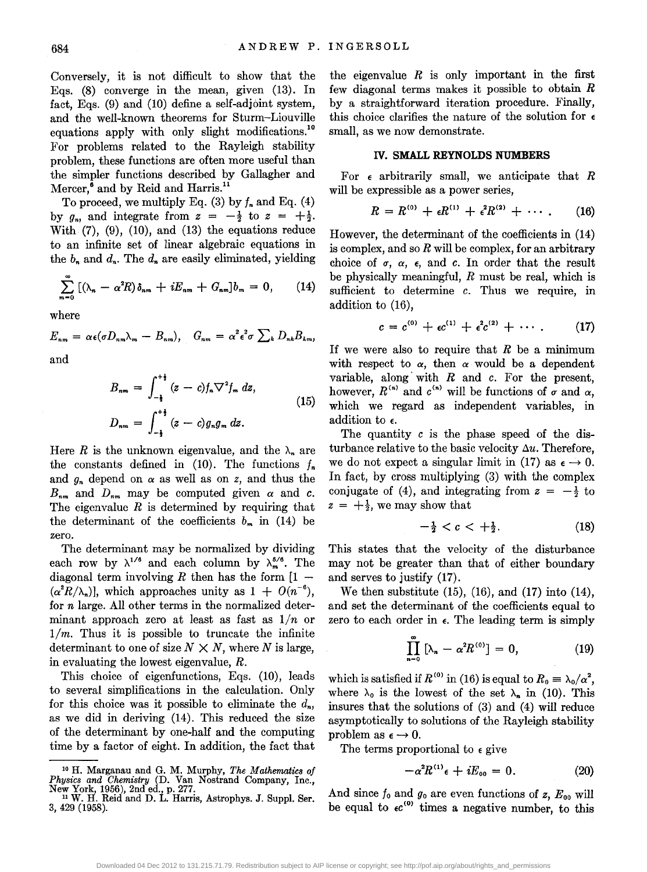Conversely, it is not difficult to show that the Eqs. (8) converge in the mean, given (13). In fact, Eqs. (9) and (10) define a self-adjoint system, and the well-known theorems for Sturm-Liouville equations apply with only slight modifications.<sup>10</sup> For problems related to the Rayleigh stability problem, these functions are often more useful than the simpler functions described by Gallagher and Mercer,<sup>6</sup> and by Reid and Harris.<sup>11</sup>

To proceed, we multiply Eq. (3) by  $f_n$  and Eq. (4) by  $g_n$ , and integrate from  $z = -\frac{1}{2}$  to  $z = +\frac{1}{2}$ . With  $(7)$ ,  $(9)$ ,  $(10)$ , and  $(13)$  the equations reduce to an infinite set of linear algebraic equations in the  $b_n$  and  $d_n$ . The  $d_n$  are easily eliminated, yielding

$$
\sum_{m=0}^{\infty} \left[ (\lambda_n - \alpha^2 R) \delta_{nm} + i E_{nm} + G_{nm} \right] b_m = 0, \qquad (14)
$$

where

$$
E_{nm} = \alpha \epsilon (\sigma D_{nm} \lambda_m - B_{nm}), \quad G_{nm} = \alpha^2 \epsilon^2 \sigma \sum_k D_{nk} B_{km}
$$

and

$$
B_{nm} = \int_{-\frac{1}{2}}^{+\frac{1}{2}} (z - c) f_n \nabla^2 f_m \, dz,
$$
  
\n
$$
D_{nm} = \int_{-\frac{1}{2}}^{+\frac{1}{2}} (z - c) g_n g_m \, dz.
$$
\n(15)

Here *R* is the unknown eigenvalue, and the  $\lambda_n$  are the constants defined in (10). The functions  $f_n$ and  $g_n$  depend on  $\alpha$  as well as on *z*, and thus the  $B_{nm}$  and  $D_{nm}$  may be computed given  $\alpha$  and  $\alpha$ . The eigenvalue *R* is determined by requiring that the determinant of the coefficients  $b_m$  in (14) be zero.

The determinant may be normalized by dividing each row by  $\lambda^{1/6}$  and each column by  $\lambda^{5/6}_m$ . The diagonal term involving  $R$  then has the form  $[1 (\alpha^2 \overline{R}/\lambda_n)$ , which approaches unity as  $1 + O(n^{-6})$ , for *n* large. All other terms in the normalized determinant approach zero at least as fast as  $1/n$  or  $1/m$ . Thus it is possible to truncate the infinite determinant to one of size  $N \times N$ , where N is large, in evaluating the lowest eigenvalue, *R.* 

This choice of eigenfunctions, Eqs. (10), leads to several simplifications in the calculation. Only for this choice was it possible to eliminate the  $d_n$ , as we did in deriving (14). This reduced the size of the determinant by one-half and the computing time by a factor of eight. In addition, the fact that

the eigenvalue  $R$  is only important in the first few diagonal terms makes it possible to obtain  $R$ by a straightforward iteration procedure. Finally, this choice clarifies the nature of the solution for  $\epsilon$ small, as we now demonstrate.

#### IV. **SMALL REYNOLDS NUMBERS**

For e arbitrarily small, we anticipate that *R*  will be expressible as a power series,

$$
R = R^{(0)} + \epsilon R^{(1)} + \epsilon^2 R^{(2)} + \cdots. \qquad (16)
$$

However, the determinant of the coefficients in (14) is complex, and so *R* will be complex, for an arbitrary choice of  $\sigma$ ,  $\alpha$ ,  $\epsilon$ , and *c*. In order that the result be physically meaningful, *R* must be real, which is sufficient to determine *c.* Thus we require, in addition to (16),

$$
c = c^{(0)} + \epsilon c^{(1)} + \epsilon^2 c^{(2)} + \cdots \qquad (17)
$$

If we were also to require that *R* be a minimum with respect to  $\alpha$ , then  $\alpha$  would be a dependent variable, along· with *R* and *c.* For the present, however,  $R^{(n)}$  and  $c^{(n)}$  will be functions of  $\sigma$  and  $\alpha$ , which we regard as independent variables, in addition to  $\epsilon$ .

The quantity *c* is the phase speed of the disturbance relative to the basic velocity  $\Delta u$ . Therefore, we do not expect a singular limit in (17) as  $\epsilon \to 0$ . In fact, by cross multiplying (3) with the complex conjugate of (4), and integrating from  $z = -\frac{1}{2}$  to  $z = +\frac{1}{2}$ , we may show that

$$
-\frac{1}{2} < c < +\frac{1}{2}.\tag{18}
$$

This states that the velocity of the disturbance may not be greater than that of either boundary and serves to justify (17).

We then substitute  $(15)$ ,  $(16)$ , and  $(17)$  into  $(14)$ , and set the determinant of the coefficients equal to zero to each order in  $\epsilon$ . The leading term is simply

$$
\prod_{n=0}^{\infty} \left[ \lambda_n - \alpha^2 R^{(0)} \right] = 0, \qquad (19)
$$

which is satisfied if  $R^{(0)}$  in (16) is equal to  $R_0 = \lambda_0/\alpha^2$ , where  $\lambda_0$  is the lowest of the set  $\lambda_n$  in (10). This insures that the solutions of (3) and (4) will reduce asymptotically to solutions of the Rayleigh stability problem as  $\epsilon \to 0$ .

The terms proportional to  $\epsilon$  give

$$
-\alpha^2 R^{(1)}\epsilon + iE_{00} = 0. \qquad (20)
$$

And since  $f_0$  and  $g_0$  are even functions of  $z$ ,  $E_{00}$  will be equal to  $\epsilon c^{(0)}$  times a negative number, to this

<sup>1</sup>o H. Marganau and G. M. Murphy, *The Mathematics of Physics and Chemistry (D. Van Nostrand Company, Inc.,* New York, 1956), 2nd ed., p. 277.<br><sup>11</sup> W. H. Reid and D. L. Harris, Astrophys. J. Suppl. Ser.

<sup>3, 429 (1958).</sup>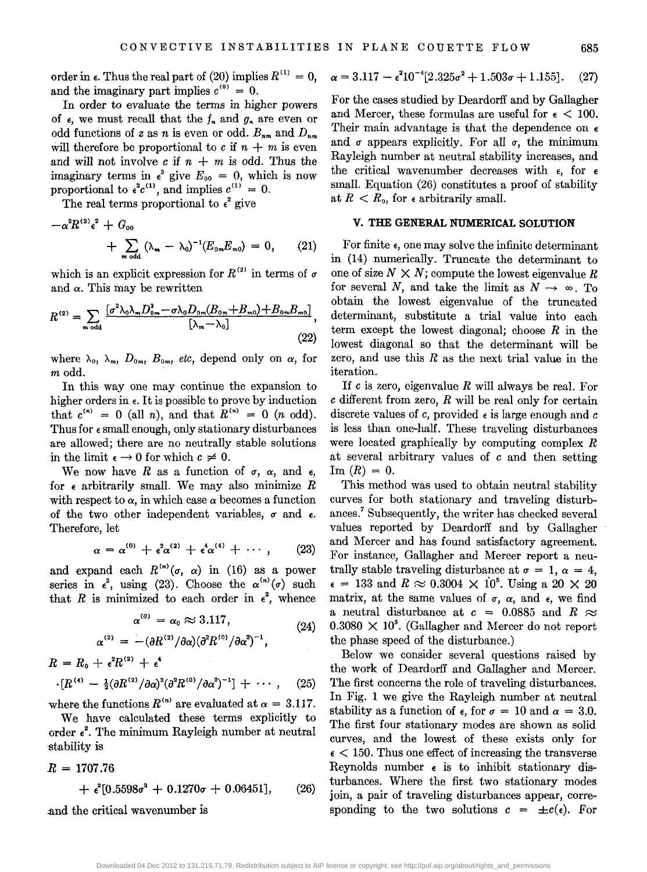order in  $\epsilon$ . Thus the real part of (20) implies  $R^{(1)} = 0$ , and the imaginary part implies  $c^{(0)} = 0$ .

In order to evaluate the terms in higher powers of  $\epsilon$ , we must recall that the  $f_n$  and  $g_n$  are even or odd functions of *z* as *n* is even or odd.  $B_{nm}$  and  $D_{nm}$ will therefore be proportional to  $c$  if  $n + m$  is even and will not involve  $c$  if  $n + m$  is odd. Thus the imaginary terms in  $\epsilon^2$  give  $E_{00} = 0$ , which is now proportional to  $\epsilon^2 c^{(1)}$ , and implies  $c^{(1)} = 0$ .

The real terms proportional to  $\epsilon^2$  give

$$
-\alpha^2 R^{(2)} \epsilon^2 + G_{00}
$$
  
+ 
$$
\sum_{m \text{ odd}} (\lambda_m - \lambda_0)^{-1} (E_{0m} E_{m0}) = 0, \qquad (21)
$$

which is an explicit expression for  $R^{(2)}$  in terms of  $\sigma$ and  $\alpha$ . This may be rewritten

$$
R^{(2)} = \sum_{m \text{ odd}} \frac{[\sigma^2 \lambda_0 \lambda_m D_{0m}^2 - \sigma \lambda_0 D_{0m} (B_{0m} + B_{m0}) + B_{0m} B_{m0}]}{\left[\lambda_m - \lambda_0\right]},
$$
\n(22)

where  $\lambda_0$ ,  $\lambda_m$ ,  $D_{0m}$ ,  $B_{0m}$ , *etc*, depend only on  $\alpha$ , for *m* odd.

In this way one may continue the expansion to higher orders in  $\epsilon$ . It is possible to prove by induction that  $c^{(n)} = 0$  (all *n*), and that  $R^{(n)} = 0$  (*n* odd). Thus for  $\epsilon$  small enough, only stationary disturbances are allowed; there are no neutrally stable solutions in the limit  $\epsilon \rightarrow 0$  for which  $c \neq 0$ .

We now have R as a function of  $\sigma$ ,  $\alpha$ , and  $\epsilon$ , for  $\epsilon$  arbitrarily small. We may also minimize  $R$ with respect to  $\alpha$ , in which case  $\alpha$  becomes a function of the two other independent variables,  $\sigma$  and  $\epsilon$ . Therefore, let

$$
\alpha = \alpha^{(0)} + \epsilon^2 \alpha^{(2)} + \epsilon^4 \alpha^{(4)} + \cdots, \qquad (23)
$$

and expand each  $R^{(n)}(\sigma, \alpha)$  in (16) as a power series in  $\epsilon^2$ , using (23). Choose the  $\alpha^{(n)}(\sigma)$  such that *R* is minimized to each order in  $\epsilon^2$ , whence

$$
\alpha^{(0)} = \alpha_0 \approx 3.117, \tag{24}
$$

$$
\alpha^{(2)} = -(\partial R^{(2)}/\partial \alpha)(\partial^2 R^{(0)}/\partial \alpha^2)^{-1},
$$

$$
R = R_0 + \epsilon^2 R^{(2)} + \epsilon^4
$$
  
 
$$
\cdot [R^{(4)} - \frac{1}{2} (\partial R^{(2)} / \partial \alpha)^2 (\partial^2 R^{(0)} / \partial \alpha^2)^{-1}] + \cdots, \quad (25)
$$

where the functions  $R^{(n)}$  are evaluated at  $\alpha = 3.117$ .

We have calculated these terms explicitly to order  $\epsilon^2$ . The minimum Rayleigh number at neutral stability is

$$
R = 1707.76
$$
  
+  $\epsilon^2[0.5598\sigma^2 + 0.1270\sigma + 0.06451]$ , (26)

.and the critical wavenumber is

$$
\alpha = 3.117 - \epsilon^2 10^{-4} [2.325\sigma^2 + 1.503\sigma + 1.155].
$$
 (27)

For the cases studied by Deardorff and by Gallagher and Mercer, these formulas are useful for  $\epsilon < 100$ . Their main advantage is that the dependence on  $\epsilon$ and  $\sigma$  appears explicitly. For all  $\sigma$ , the minimum Rayleigh number at neutral stability increases, and the critical wavenumber decreases with  $\epsilon$ , for  $\epsilon$ small. Equation (26) constitutes a proof of stability at  $R < R_0$ , for  $\epsilon$  arbitrarily small.

# **V. THE GENERAL NUMERICAL SOLUTION**

For finite  $\epsilon$ , one may solve the infinite determinant in (14) numerically. Truncate the determinant to one of size  $N \times N$ ; compute the lowest eigenvalue R for several N, and take the limit as  $N \rightarrow \infty$ . To obtain the lowest eigenvalue of the truncated determinant, substitute a trial value into each term except the lowest diagonal; choose *R* in the lowest diagonal so that the determinant will be zero, and use this *R* as the next trial value in the iteration.

If *c* is zero, eigenvalue *R* will always be real. For *c* different from zero, *R* will be real only for certain discrete values of c, provided  $\epsilon$  is large enough and c is less than one-half. These traveling disturbances were located graphically by computing complex *R*  at several arbitrary values of *c* and then setting  ${\rm Im} (R) = 0.$ 

This method was used to obtain neutral stability curves for both stationary and traveling disturbances.7 Subsequently, the writer has checked several values reported by Deardorff and by Gallagher and Mercer and has found satisfactory agreement. For instance, Gallagher and Mercer report a neutrally stable traveling disturbance at  $\sigma = 1, \alpha = 4$ ,  $\epsilon = 133$  and  $R \approx 0.3004 \times 10^5$ . Using a 20  $\times$  20 matrix, at the same values of  $\sigma$ ,  $\alpha$ , and  $\epsilon$ , we find a neutral disturbance at  $c = 0.0885$  and  $R \approx$  $0.3080 \times 10^5$ . (Gallagher and Mercer do not report the phase speed of the disturbance.)

Below we consider several questions raised by the work of Deardorff and Gallagher and Mercer. The first concerns the role of traveling disturbances. In Fig. 1 we give the Rayleigh number at neutral stability as a function of  $\epsilon$ , for  $\sigma = 10$  and  $\alpha = 3.0$ . The first four stationary modes are shown as solid curves, and the lowest of these exists only for  $\epsilon$  < 150. Thus one effect of increasing the transverse Reynolds number  $\epsilon$  is to inhibit stationary disturbances. Where the first two stationary modes join, a pair of traveling disturbances appear, corresponding to the two solutions  $c = \pm c(\epsilon)$ . For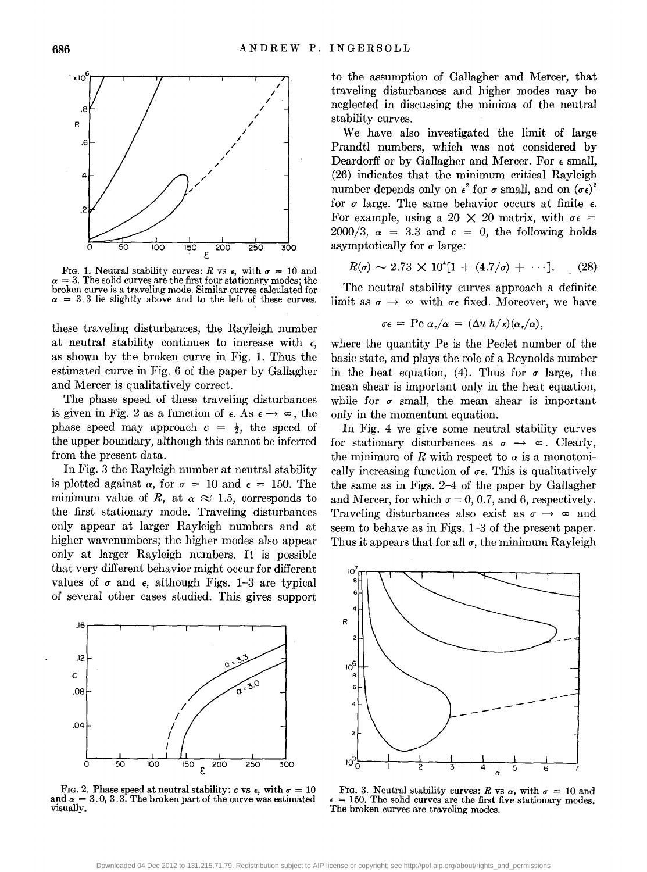

FIG. 1. Neutral stability curves: *R* vs  $\epsilon$ , with  $\sigma = 10$  and  $\alpha=3$ . The solid curves are the first four stationary modes; the broken curve is a traveling mode. Similar curves calculated for  $\alpha$  = 3.3 lie slightly above and to the left of these curves.

these traveling disturbances, the Rayleigh number at neutral stability continues to increase with  $\epsilon$ , as shown by the broken curve in Fig. 1. Thus the estimated curve in Fig. 6 of the paper by Gallagher and Mercer is qualitatively correct.

The phase speed of these traveling disturbances is given in Fig. 2 as a function of  $\epsilon$ . As  $\epsilon \rightarrow \infty$ , the phase speed may approach  $c = \frac{1}{2}$ , the speed of the upper boundary, although this cannot be inferred from the present data.

In Fig. 3 the Rayleigh number at neutral stability is plotted against  $\alpha$ , for  $\sigma = 10$  and  $\epsilon = 150$ . The minimum value of *R*, at  $\alpha \approx 1.5$ , corresponds to the first stationary mode. Traveling disturbances only appear at larger Rayleigh numbers and at higher wavenumbers; the higher modes also appear only at larger Rayleigh numbers. It is possible that very different behavior might occur for different values of  $\sigma$  and  $\epsilon$ , although Figs. 1-3 are typical of several other cases studied. This gives support



FIG. 2. Phase speed at neutral stability:  $c \text{ vs } \epsilon$ , with  $\sigma = 10$ and  $\alpha = 3.0, 3.3$ . The broken part of the curve was estimated visually.

to the assumption of Gallagher and Mercer, that traveling disturbances and higher modes may be neglected in discussing the minima of the neutral stability curves.

We have also investigated the limit of large Prandtl numbers, which was not considered by Deardorff or by Gallagher and Mercer. For  $\epsilon$  small, (26) indicates that the minimum critical Rayleigh number depends only on  $\epsilon^2$  for  $\sigma$  small, and on  $(\sigma \epsilon)^2$ for  $\sigma$  large. The same behavior occurs at finite  $\epsilon$ . For example, using a 20  $\times$  20 matrix, with  $\sigma \epsilon$  =  $2000/3$ ,  $\alpha = 3.3$  and  $c = 0$ , the following holds asymptotically for  $\sigma$  large:

$$
R(\sigma) \sim 2.73 \times 10^4 [1 + (4.7/\sigma) + \cdots]. \tag{28}
$$

The neutral stability curves approach a definite limit as  $\sigma \rightarrow \infty$  with  $\sigma \epsilon$  fixed. Moreover, we have

$$
\sigma \epsilon = \text{Pe } \alpha_x/\alpha = (\Delta u \ h/\kappa)(\alpha_x/\alpha),
$$

where the quantity Pe is the Peclet number of the basic state, and plays the role of a Reynolds number in the heat equation, (4). Thus for  $\sigma$  large, the mean shear is important only in the heat equation, while for  $\sigma$  small, the mean shear is important only in the momentum equation.

In Fig. 4 we give some neutral stability curves for stationary disturbances as  $\sigma \rightarrow \infty$ . Clearly, the minimum of R with respect to  $\alpha$  is a monotonically increasing function of  $\sigma \epsilon$ . This is qualitatively the same as in Figs. 2-4 of the paper by Gallagher and Mercer, for which  $\sigma = 0, 0.7$ , and 6, respectively. Traveling disturbances also exist as  $\sigma \rightarrow \infty$  and seem to behave as in Figs. 1-3 of the present paper. Thus it appears that for all  $\sigma$ , the minimum Rayleigh



FIG. 3. Neutral stability curves: *R* vs  $\alpha$ , with  $\sigma = 10$  and = 150. The solid curves are the first five stationary modes. The broken curves are traveling modes.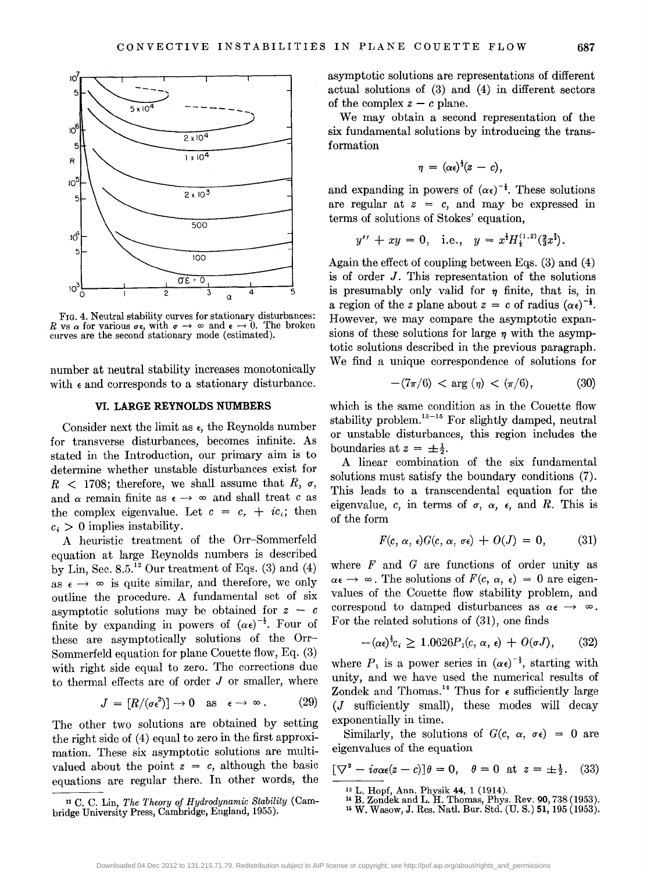

FIG. 4. Neutral stability curves for stationary disturbances: *R* vs *a* for various  $\sigma \epsilon$ , with  $\sigma \rightarrow \infty$  and  $\epsilon \rightarrow 0$ . The broken curves are the second stationary mode (estimated).

number at neutral stability increases monotonically with  $\epsilon$  and corresponds to a stationary disturbance.

#### **VI. LARGE REYNOLDS NUMBERS**

Consider next the limit as  $\epsilon$ , the Reynolds number for transverse disturbances, becomes infinite. As stated in the Introduction, our primary aim is to determine whether unstable disturbances exist for  $R$  < 1708; therefore, we shall assume that  $R$ ,  $\sigma$ , and  $\alpha$  remain finite as  $\epsilon \rightarrow \infty$  and shall treat *c* as the complex eigenvalue. Let  $c = c_r + ic_i$ ; then  $c_i > 0$  implies instability.

A heuristic treatment of the Orr-Sommerfeld equation at large Reynolds numbers is described by Lin, Sec.  $8.5.^{12}$  Our treatment of Eqs. (3) and (4) as  $\epsilon \rightarrow \infty$  is quite similar, and therefore, we only outline the procedure. A fundamental set of six asymptotic solutions may be obtained for  $z - c$ finite by expanding in powers of  $(\alpha \epsilon)^{-\frac{1}{2}}$ . Four of these are asymptotically solutions of the Orr-Sommerfeld equation for plane Couette flow, Eq. (3) with right side equal to zero. The corrections due to thermal effects are of order  $J$  or smaller, where

$$
J = [R/(\sigma \epsilon^2)] \to 0 \quad \text{as} \quad \epsilon \to \infty \,. \tag{29}
$$

The other two solutions are obtained by setting the right side of (4) equal to zero in the first approximation. These six asymptotic solutions are multivalued about the point  $z = c$ , although the basic equations are regular there. In other words, the

12 C. C. Lin, *The Theory of Hydrodynamic Stability* (Cambridge University Press, Cambridge, England, 1955).

asymptotic solutions are representations of different actual solutions of (3) and (4) in different sectors of the complex  $z - c$  plane.

We may obtain a second representation of the six fundamental solutions by introducing the transformation

$$
\eta = (\alpha \epsilon)^{\frac{1}{3}}(z - c),
$$

and expanding in powers of  $(\alpha \epsilon)^{-\frac{1}{2}}$ . These solutions are regular at  $z = c$ , and may be expressed in terms of solutions of Stokes' equation,

$$
y'' + xy = 0
$$
, i.e.,  $y = x^{\frac{1}{2}}H_{\frac{1}{2}}^{(1,2)}(\frac{2}{3}x^{\frac{3}{2}})$ .

Again the effect of coupling between Eqs. (3) and (4) is of order J. This representation of the solutions is presumably only valid for  $\eta$  finite, that is, in a region of the *z* plane about  $z = c$  of radius  $(\alpha \epsilon)^{-\frac{1}{2}}$ . However, we may compare the asymptotic expansions of these solutions for large  $\eta$  with the asymptotic solutions described in the previous paragraph. We find a unique correspondence of solutions for

$$
-(7\pi/6) < \arg(\eta) < (\pi/6), \tag{30}
$$

which is the same condition as in the Couette flow stability problem. $13 - 15$  For slightly damped, neutral or unstable disturbances, this region includes the boundaries at  $z = \pm \frac{1}{2}$ .

A linear combination of the six fundamental solutions must satisfy the boundary conditions (7). This leads to a transcendental equation for the eigenvalue, c, in terms of  $\sigma$ ,  $\alpha$ ,  $\epsilon$ , and R. This is of the form

$$
F(c, \alpha, \epsilon)G(c, \alpha, \sigma\epsilon) + O(J) = 0, \qquad (31)
$$

where *F* and *G* are functions of order unity as  $\alpha \epsilon \rightarrow \infty$ . The solutions of  $F(c, \alpha, \epsilon) = 0$  are eigenvalues of the Couette flow stability problem, and correspond to damped disturbances as  $\alpha \in \mathcal{A}$ . For the related solutions of (31), one finds

$$
-(\alpha \epsilon)^{\frac{1}{2}}c_i \ge 1.0626 P_1(c, \alpha, \epsilon) + O(\sigma J), \qquad (32)
$$

where  $P_1$  is a power series in  $(\alpha \epsilon)^{-\frac{1}{2}}$ , starting with unity, and we have used the numerical results of Zondek and Thomas.<sup>14</sup> Thus for  $\epsilon$  sufficiently large (J sufficiently small), these modes will decay exponentially in time.

Similarly, the solutions of  $G(c, \alpha, \sigma \epsilon) = 0$  are eigenvalues of the equation

$$
[\nabla^2 - i\sigma\alpha\epsilon(z - c)]\theta = 0, \quad \theta = 0 \text{ at } z = \pm \frac{1}{2}.
$$
 (33)

13 L. Hopf, Ann. Physik 44, 1 (1914). 14 B. Zondek and L. H. Thomas, Phys. Rev. 90,738 (1953). 15 W. Wasow, J. Res. Natl. Bur. Std. (U.S.) 51, 195 (1953).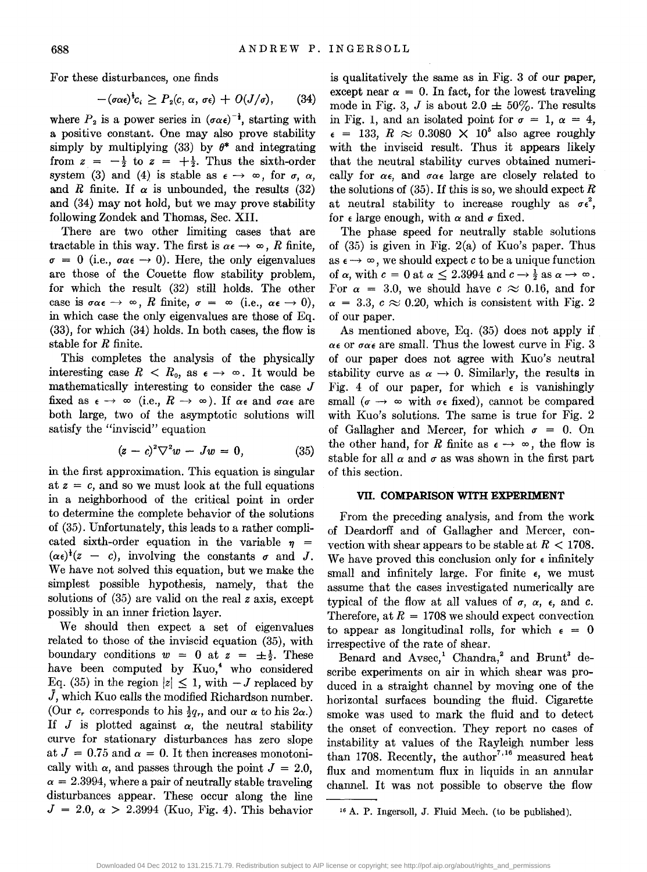For these disturbances, one finds

$$
-(\sigma\alpha\epsilon)^{\frac{1}{2}}c_i\geq P_2(c,\,\alpha,\,\sigma\epsilon)+O(J/\sigma),\qquad(34)
$$

where  $P_2$  is a power series in  $(\sigma \alpha \epsilon)^{-1}$ , starting with a positive constant. One may also prove stability simply by multiplying  $(33)$  by  $\theta^*$  and integrating from  $z = -\frac{1}{2}$  to  $z = +\frac{1}{2}$ . Thus the sixth-order system (3) and (4) is stable as  $\epsilon \rightarrow \infty$ , for  $\sigma$ ,  $\alpha$ , and R finite. If  $\alpha$  is unbounded, the results (32) and (34) may not hold, but we may prove stability following Zondek and Thomas, Sec. XII.

There are two other limiting cases that are tractable in this way. The first is  $\alpha \epsilon \rightarrow \infty$ , *R* finite,  $\sigma = 0$  (i.e.,  $\sigma \alpha \epsilon \rightarrow 0$ ). Here, the only eigenvalues are those of the Couette flow stability problem, for which the result (32) still holds. The other case is  $\sigma \alpha \epsilon \rightarrow \infty$ , *R* finite,  $\sigma = \infty$  (i.e.,  $\alpha \epsilon \rightarrow 0$ ), in which case the only eigenvalues are those of Eq. (33), for which (34) holds. In both cases, the flow is stable for *R* finite.

This completes the analysis of the physically interesting case  $R < R_0$ , as  $\epsilon \to \infty$ . It would be mathematically interesting to consider the case J fixed as  $\epsilon \rightarrow \infty$  (i.e.,  $R \rightarrow \infty$ ). If  $\alpha \epsilon$  and  $\sigma \alpha \epsilon$  are both large, two of the asymptotic solutions will satisfy the "inviscid" equation

$$
(z-c)^2 \nabla^2 w - Jw = 0, \qquad (35)
$$

in the first approximation. This equation is singular at  $z = c$ , and so we must look at the full equations in a neighborhood of the critical point in order to determine the complete behavior of the solutions of (35). Unfortunately, this leads to a rather complicated sixth-order equation in the variable  $\eta$  =  $(\alpha \epsilon)^{\dagger}(z - c)$ , involving the constants  $\sigma$  and J. We have not solved this equation, but we make the simplest possible hypothesis, namely, that the solutions of (35) are valid on the real *z* axis, except possibly in an inner friction layer.

We should then expect a set of eigenvalues related to those of the inviscid equation (35), with boundary conditions  $w = 0$  at  $z = \pm \frac{1}{2}$ . These have been computed by Kuo,<sup>4</sup> who considered Eq. (35) in the region  $|z| \leq 1$ , with  $-J$  replaced by  $\bar{J}$ , which Kuo calls the modified Richardson number. (Our *c<sub>r</sub>* corresponds to his  $\frac{1}{2}q_r$ , and our  $\alpha$  to his  $2\alpha$ .) If  $J$  is plotted against  $\alpha$ , the neutral stability curve for stationary disturbances has zero slope at  $J = 0.75$  and  $\alpha = 0$ . It then increases monotonically with  $\alpha$ , and passes through the point  $J = 2.0$ ,  $\alpha = 2.3994$ , where a pair of neutrally stable traveling disturbances appear. These occur along the line  $J = 2.0, \alpha > 2.3994$  (Kuo, Fig. 4). This behavior

is qualitatively the same as in Fig. 3 of our paper, except near  $\alpha = 0$ . In fact, for the lowest traveling mode in Fig. 3, J is about 2.0  $\pm$  50%. The results in Fig. 1, and an isolated point for  $\sigma = 1$ ,  $\alpha = 4$ ,  $\epsilon$  = 133,  $R \approx 0.3080 \times 10^5$  also agree roughly with the inviscid result. Thus it appears likely that the neutral stability curves obtained numerically for  $\alpha \epsilon$ , and  $\sigma \alpha \epsilon$  large are closely related to the solutions of (35). If this is so, we should expect *R*  at neutral stability to increase roughly as  $\sigma \epsilon^2$ , for  $\epsilon$  large enough, with  $\alpha$  and  $\sigma$  fixed.

The phase speed for neutrally stable solutions of  $(35)$  is given in Fig. 2(a) of Kuo's paper. Thus as  $\epsilon \rightarrow \infty$ , we should expect *c* to be a unique function of  $\alpha$ , with  $c = 0$  at  $\alpha \leq 2.3994$  and  $c \rightarrow \frac{1}{2}$  as  $\alpha \rightarrow \infty$ . For  $\alpha = 3.0$ , we should have  $c \approx 0.16$ , and for  $\alpha = 3.3$ ,  $c \approx 0.20$ , which is consistent with Fig. 2 of our paper.

As mentioned above, Eq. (35) does not apply if  $\alpha \epsilon$  or  $\sigma \alpha \epsilon$  are small. Thus the lowest curve in Fig. 3 of our paper does not agree with Kuo's neutral stability curve as  $\alpha \rightarrow 0$ . Similarly, the results in Fig. 4 of our paper, for which  $\epsilon$  is vanishingly small  $(\sigma \rightarrow \infty$  with  $\sigma \in \text{fixed}$ , cannot be compared with Kuo's solutions. The same is true for Fig. 2 of Gallagher and Mercer, for which  $\sigma = 0$ . On the other hand, for *R* finite as  $\epsilon \rightarrow \infty$ , the flow is stable for all  $\alpha$  and  $\sigma$  as was shown in the first part of this section.

#### **VII. COMPARISON WITH EXPERIMENT**

From the preceding analysis, and from the work of Deardorff and of Gallagher and Mercer, convection with shear appears to be stable at  $R < 1708$ . We have proved this conclusion only for  $\epsilon$  infinitely small and infinitely large. For finite  $\epsilon$ , we must assume that the cases investigated numerically are typical of the flow at all values of  $\sigma$ ,  $\alpha$ ,  $\epsilon$ , and  $\alpha$ . Therefore, at  $R = 1708$  we should expect convection to appear as longitudinal rolls, for which  $\epsilon = 0$ irrespective of the rate of shear.

Benard and Avsec,<sup>1</sup> Chandra,<sup>2</sup> and Brunt<sup>3</sup> describe experiments on air in which shear was produced in a straight channel by moving one of the horizontal surfaces bounding the fluid. Cigarette smoke was used to mark the fluid and to detect the onset of convection. They report no cases of instability at values of the Rayleigh number less than 1708. Recently, the author<sup>7,16</sup> measured heat flux and momentum flux in liquids in an annular channel. It was not possible to observe the flow

16 A. P. Ingersoll, J. Fluid Mech. (to be published).